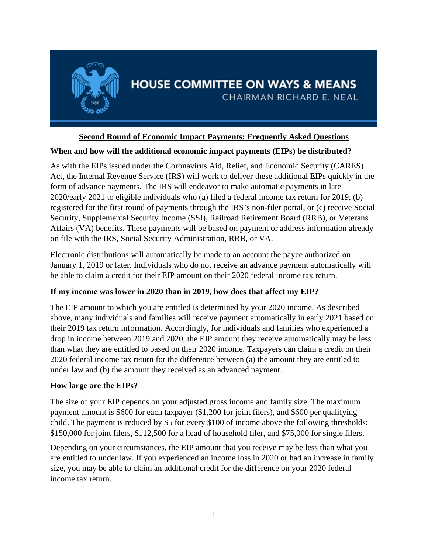

# **HOUSE COMMITTEE ON WAYS & MEANS** CHAIRMAN RICHARD E. NEAL

### **Second Round of Economic Impact Payments: Frequently Asked Questions**

#### **When and how will the additional economic impact payments (EIPs) be distributed?**

As with the EIPs issued under the Coronavirus Aid, Relief, and Economic Security (CARES) Act, the Internal Revenue Service (IRS) will work to deliver these additional EIPs quickly in the form of advance payments. The IRS will endeavor to make automatic payments in late 2020/early 2021 to eligible individuals who (a) filed a federal income tax return for 2019, (b) registered for the first round of payments through the IRS's non-filer portal, or (c) receive Social Security, Supplemental Security Income (SSI), Railroad Retirement Board (RRB), or Veterans Affairs (VA) benefits. These payments will be based on payment or address information already on file with the IRS, Social Security Administration, RRB, or VA.

Electronic distributions will automatically be made to an account the payee authorized on January 1, 2019 or later. Individuals who do not receive an advance payment automatically will be able to claim a credit for their EIP amount on their 2020 federal income tax return.

#### **If my income was lower in 2020 than in 2019, how does that affect my EIP?**

The EIP amount to which you are entitled is determined by your 2020 income. As described above, many individuals and families will receive payment automatically in early 2021 based on their 2019 tax return information. Accordingly, for individuals and families who experienced a drop in income between 2019 and 2020, the EIP amount they receive automatically may be less than what they are entitled to based on their 2020 income. Taxpayers can claim a credit on their 2020 federal income tax return for the difference between (a) the amount they are entitled to under law and (b) the amount they received as an advanced payment.

#### **How large are the EIPs?**

The size of your EIP depends on your adjusted gross income and family size. The maximum payment amount is \$600 for each taxpayer (\$1,200 for joint filers), and \$600 per qualifying child. The payment is reduced by \$5 for every \$100 of income above the following thresholds: \$150,000 for joint filers, \$112,500 for a head of household filer, and \$75,000 for single filers.

Depending on your circumstances, the EIP amount that you receive may be less than what you are entitled to under law. If you experienced an income loss in 2020 or had an increase in family size, you may be able to claim an additional credit for the difference on your 2020 federal income tax return.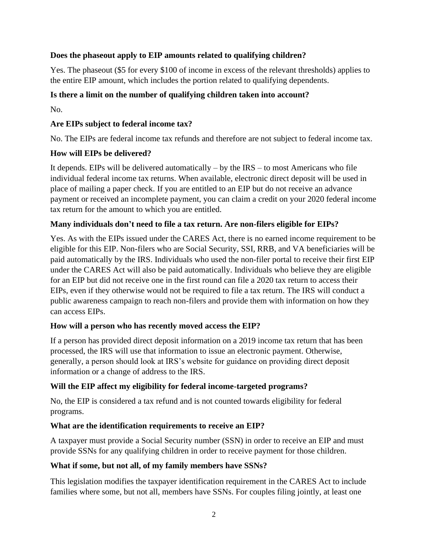### **Does the phaseout apply to EIP amounts related to qualifying children?**

Yes. The phaseout (\$5 for every \$100 of income in excess of the relevant thresholds) applies to the entire EIP amount, which includes the portion related to qualifying dependents.

### **Is there a limit on the number of qualifying children taken into account?**

No.

#### **Are EIPs subject to federal income tax?**

No. The EIPs are federal income tax refunds and therefore are not subject to federal income tax.

### **How will EIPs be delivered?**

It depends. EIPs will be delivered automatically – by the IRS – to most Americans who file individual federal income tax returns. When available, electronic direct deposit will be used in place of mailing a paper check. If you are entitled to an EIP but do not receive an advance payment or received an incomplete payment, you can claim a credit on your 2020 federal income tax return for the amount to which you are entitled.

### **Many individuals don't need to file a tax return. Are non-filers eligible for EIPs?**

Yes. As with the EIPs issued under the CARES Act, there is no earned income requirement to be eligible for this EIP. Non-filers who are Social Security, SSI, RRB, and VA beneficiaries will be paid automatically by the IRS. Individuals who used the non-filer portal to receive their first EIP under the CARES Act will also be paid automatically. Individuals who believe they are eligible for an EIP but did not receive one in the first round can file a 2020 tax return to access their EIPs, even if they otherwise would not be required to file a tax return. The IRS will conduct a public awareness campaign to reach non-filers and provide them with information on how they can access EIPs.

#### **How will a person who has recently moved access the EIP?**

If a person has provided direct deposit information on a 2019 income tax return that has been processed, the IRS will use that information to issue an electronic payment. Otherwise, generally, a person should look at IRS's website for guidance on providing direct deposit information or a change of address to the IRS.

## **Will the EIP affect my eligibility for federal income-targeted programs?**

No, the EIP is considered a tax refund and is not counted towards eligibility for federal programs.

#### **What are the identification requirements to receive an EIP?**

A taxpayer must provide a Social Security number (SSN) in order to receive an EIP and must provide SSNs for any qualifying children in order to receive payment for those children.

#### **What if some, but not all, of my family members have SSNs?**

This legislation modifies the taxpayer identification requirement in the CARES Act to include families where some, but not all, members have SSNs. For couples filing jointly, at least one